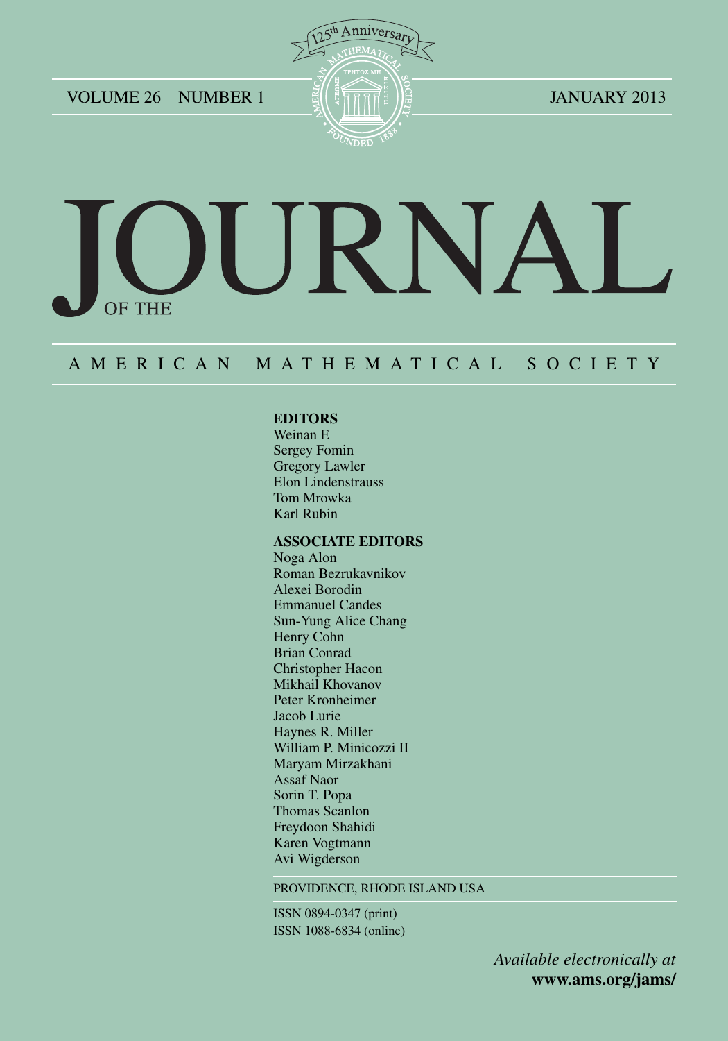VOLUME 26 NUMBER 1  $\frac{2013}{\pi}$   $\frac{1}{2}$   $\frac{1}{2}$ 



# URNA **OF THE**

## A M E R I C A N M A T H E M A T I C A L S O C I E T Y

#### **EDITORS**

Weinan E Sergey Fomin Gregory Lawler Elon Lindenstrauss Tom Mrowka Karl Rubin

#### **ASSOCIATE EDITORS**

Noga Alon Roman Bezrukavnikov Alexei Borodin Emmanuel Candes Sun-Yung Alice Chang Henry Cohn Brian Conrad Christopher Hacon Mikhail Khovanov Peter Kronheimer Jacob Lurie Haynes R. Miller William P. Minicozzi II Maryam Mirzakhani Assaf Naor Sorin T. Popa Thomas Scanlon Freydoon Shahidi Karen Vogtmann Avi Wigderson

PROVIDENCE, RHODE ISLAND USA

ISSN 0894-0347 (print) ISSN 1088-6834 (online)

> *Available electronically at* **www.ams.org/jams/**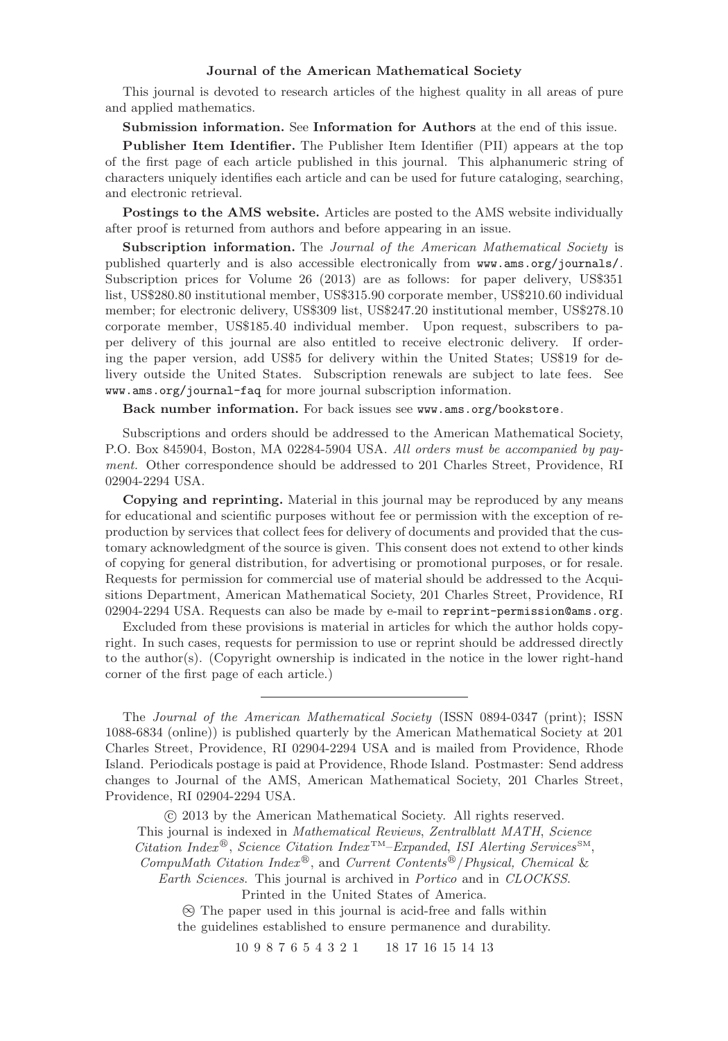#### **Journal of the American Mathematical Society**

This journal is devoted to research articles of the highest quality in all areas of pure and applied mathematics.

**Submission information.** See **Information for Authors** at the end of this issue.

**Publisher Item Identifier.** The Publisher Item Identifier (PII) appears at the top of the first page of each article published in this journal. This alphanumeric string of characters uniquely identifies each article and can be used for future cataloging, searching, and electronic retrieval.

**Postings to the AMS website.** Articles are posted to the AMS website individually after proof is returned from authors and before appearing in an issue.

**Subscription information.** The Journal of the American Mathematical Society is published quarterly and is also accessible electronically from www.ams.org/journals/. Subscription prices for Volume 26 (2013) are as follows: for paper delivery, US\$351 list, US\$280.80 institutional member, US\$315.90 corporate member, US\$210.60 individual member; for electronic delivery, US\$309 list, US\$247.20 institutional member, US\$278.10 corporate member, US\$185.40 individual member. Upon request, subscribers to paper delivery of this journal are also entitled to receive electronic delivery. If ordering the paper version, add US\$5 for delivery within the United States; US\$19 for delivery outside the United States. Subscription renewals are subject to late fees. See www.ams.org/journal-faq for more journal subscription information.

Back number information. For back issues see www.ams.org/bookstore.

Subscriptions and orders should be addressed to the American Mathematical Society, P.O. Box 845904, Boston, MA 02284-5904 USA. All orders must be accompanied by payment. Other correspondence should be addressed to 201 Charles Street, Providence, RI 02904-2294 USA.

**Copying and reprinting.** Material in this journal may be reproduced by any means for educational and scientific purposes without fee or permission with the exception of reproduction by services that collect fees for delivery of documents and provided that the customary acknowledgment of the source is given. This consent does not extend to other kinds of copying for general distribution, for advertising or promotional purposes, or for resale. Requests for permission for commercial use of material should be addressed to the Acquisitions Department, American Mathematical Society, 201 Charles Street, Providence, RI 02904-2294 USA. Requests can also be made by e-mail to reprint-permission@ams.org.

Excluded from these provisions is material in articles for which the author holds copyright. In such cases, requests for permission to use or reprint should be addressed directly to the author(s). (Copyright ownership is indicated in the notice in the lower right-hand corner of the first page of each article.)

The Journal of the American Mathematical Society (ISSN 0894-0347 (print); ISSN 1088-6834 (online)) is published quarterly by the American Mathematical Society at 201 Charles Street, Providence, RI 02904-2294 USA and is mailed from Providence, Rhode Island. Periodicals postage is paid at Providence, Rhode Island. Postmaster: Send address changes to Journal of the AMS, American Mathematical Society, 201 Charles Street, Providence, RI 02904-2294 USA.

-c 2013 by the American Mathematical Society. All rights reserved. This journal is indexed in Mathematical Reviews, Zentralblatt MATH, Science Citation Index<sup>®</sup>, Science Citation Index<sup>TM</sup>–Expanded, ISI Alerting Services<sup>SM</sup>,

CompuMath Citation Index<sup>®</sup>, and Current Contents<sup>®</sup>/Physical, Chemical & Earth Sciences. This journal is archived in Portico and in CLOCKSS.

Printed in the United States of America.

∞ The paper used in this journal is acid-free and falls within the guidelines established to ensure permanence and durability.

10 9 8 7 6 5 4 3 2 1 18 17 16 15 14 13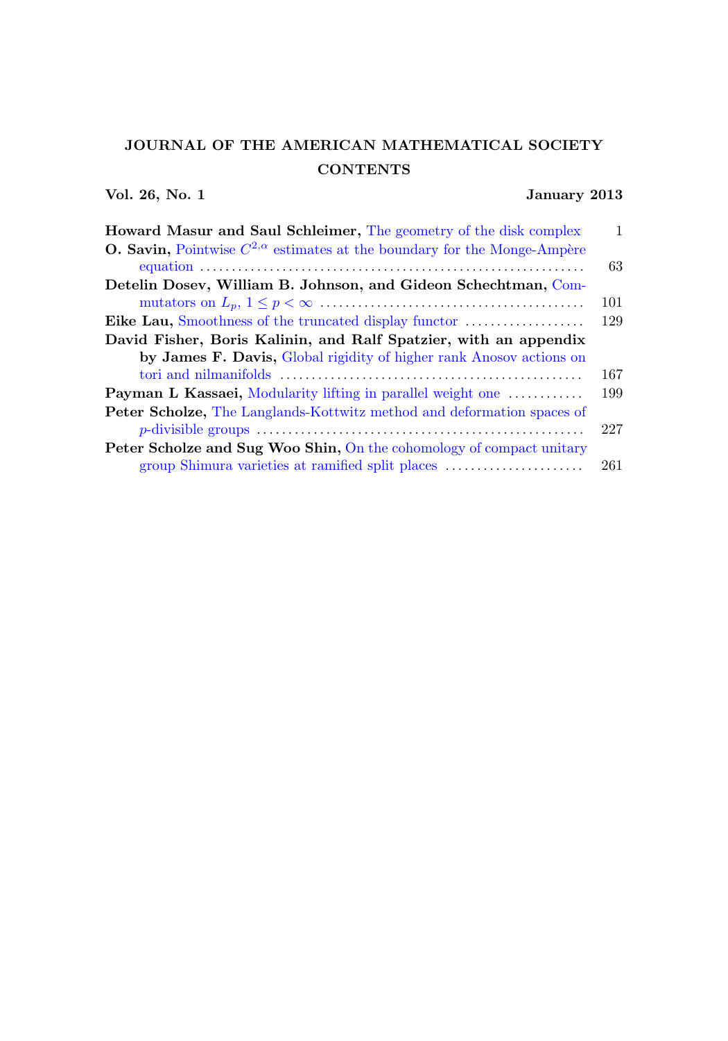# JOURNAL OF THE AMERICAN MATHEMATICAL SOCIETY **CONTENTS**

## Vol. 26, No. 1 January 2013

| <b>Howard Masur and Saul Schleimer, The geometry of the disk complex</b>                 | 1   |
|------------------------------------------------------------------------------------------|-----|
| <b>O. Savin,</b> Pointwise $C^{2,\alpha}$ estimates at the boundary for the Monge-Ampère |     |
|                                                                                          | 63  |
| Detelin Dosev, William B. Johnson, and Gideon Schechtman, Com-                           |     |
|                                                                                          | 101 |
|                                                                                          | 129 |
| David Fisher, Boris Kalinin, and Ralf Spatzier, with an appendix                         |     |
| by James F. Davis, Global rigidity of higher rank Anosov actions on                      |     |
|                                                                                          | 167 |
| <b>Payman L Kassaei,</b> Modularity lifting in parallel weight one                       | 199 |
| <b>Peter Scholze,</b> The Langlands-Kottwitz method and deformation spaces of            |     |
|                                                                                          | 227 |
| <b>Peter Scholze and Sug Woo Shin, On the cohomology of compact unitary</b>              |     |
| group Shimura varieties at ramified split places                                         | 261 |
|                                                                                          |     |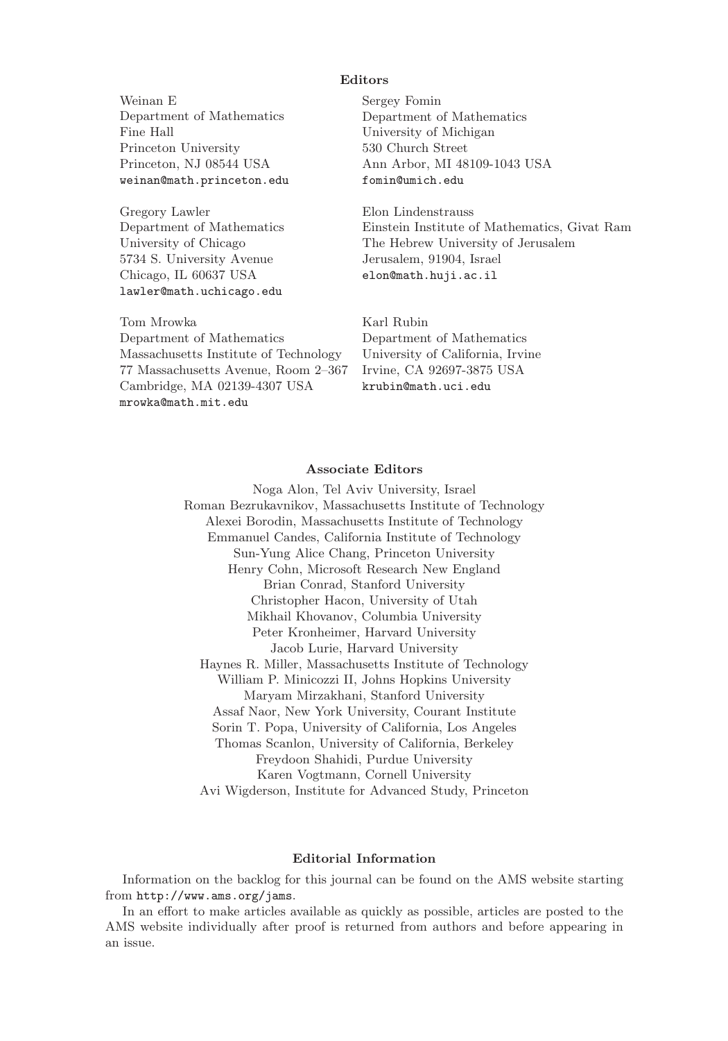#### **Editors**

Weinan E Department of Mathematics Fine Hall Princeton University Princeton, NJ 08544 USA weinan@math.princeton.edu

Gregory Lawler Department of Mathematics University of Chicago 5734 S. University Avenue Chicago, IL 60637 USA lawler@math.uchicago.edu

Tom Mrowka Department of Mathematics Massachusetts Institute of Technology 77 Massachusetts Avenue, Room 2–367 Cambridge, MA 02139-4307 USA mrowka@math.mit.edu

Sergey Fomin Department of Mathematics University of Michigan 530 Church Street Ann Arbor, MI 48109-1043 USA fomin@umich.edu

Elon Lindenstrauss Einstein Institute of Mathematics, Givat Ram The Hebrew University of Jerusalem Jerusalem, 91904, Israel elon@math.huji.ac.il

Karl Rubin Department of Mathematics University of California, Irvine Irvine, CA 92697-3875 USA krubin@math.uci.edu

#### **Associate Editors**

Noga Alon, Tel Aviv University, Israel Roman Bezrukavnikov, Massachusetts Institute of Technology Alexei Borodin, Massachusetts Institute of Technology Emmanuel Candes, California Institute of Technology Sun-Yung Alice Chang, Princeton University Henry Cohn, Microsoft Research New England Brian Conrad, Stanford University Christopher Hacon, University of Utah Mikhail Khovanov, Columbia University Peter Kronheimer, Harvard University Jacob Lurie, Harvard University Haynes R. Miller, Massachusetts Institute of Technology William P. Minicozzi II, Johns Hopkins University Maryam Mirzakhani, Stanford University Assaf Naor, New York University, Courant Institute Sorin T. Popa, University of California, Los Angeles Thomas Scanlon, University of California, Berkeley Freydoon Shahidi, Purdue University Karen Vogtmann, Cornell University Avi Wigderson, Institute for Advanced Study, Princeton

#### **Editorial Information**

Information on the backlog for this journal can be found on the AMS website starting from http://www.ams.org/jams.

In an effort to make articles available as quickly as possible, articles are posted to the AMS website individually after proof is returned from authors and before appearing in an issue.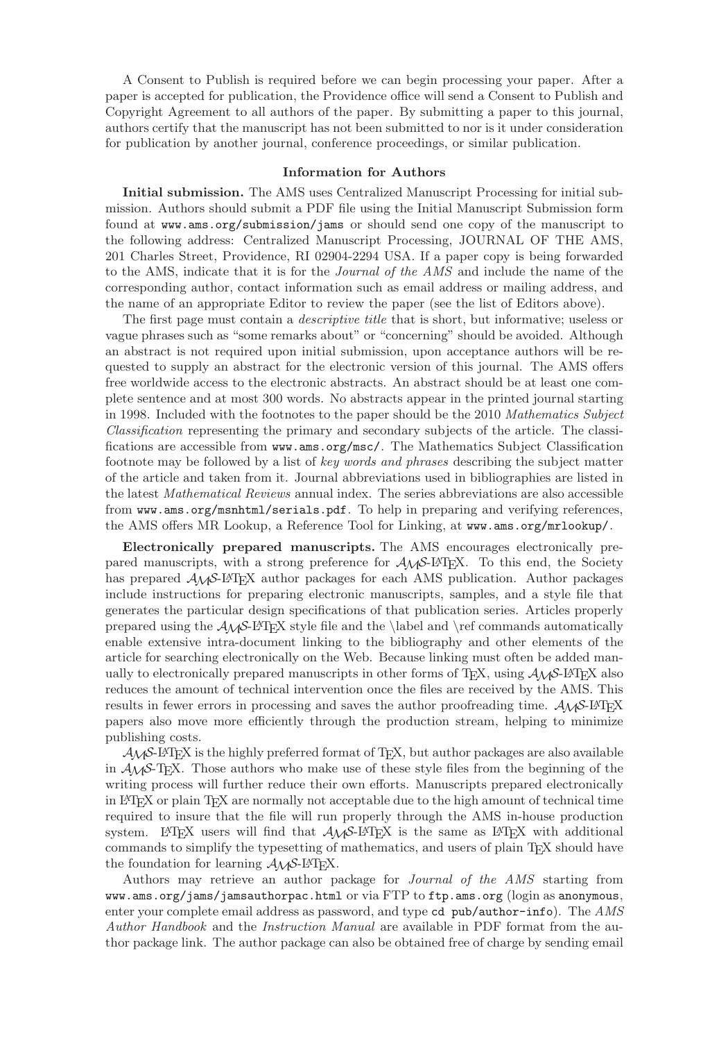A Consent to Publish is required before we can begin processing your paper. After a paper is accepted for publication, the Providence office will send a Consent to Publish and Copyright Agreement to all authors of the paper. By submitting a paper to this journal, authors certify that the manuscript has not been submitted to nor is it under consideration for publication by another journal, conference proceedings, or similar publication.

#### **Information for Authors**

**Initial submission.** The AMS uses Centralized Manuscript Processing for initial submission. Authors should submit a PDF file using the Initial Manuscript Submission form found at www.ams.org/submission/jams or should send one copy of the manuscript to the following address: Centralized Manuscript Processing, JOURNAL OF THE AMS, 201 Charles Street, Providence, RI 02904-2294 USA. If a paper copy is being forwarded to the AMS, indicate that it is for the Journal of the AMS and include the name of the corresponding author, contact information such as email address or mailing address, and the name of an appropriate Editor to review the paper (see the list of Editors above).

The first page must contain a *descriptive title* that is short, but informative; useless or vague phrases such as "some remarks about" or "concerning" should be avoided. Although an abstract is not required upon initial submission, upon acceptance authors will be requested to supply an abstract for the electronic version of this journal. The AMS offers free worldwide access to the electronic abstracts. An abstract should be at least one complete sentence and at most 300 words. No abstracts appear in the printed journal starting in 1998. Included with the footnotes to the paper should be the 2010 Mathematics Subject Classification representing the primary and secondary subjects of the article. The classifications are accessible from www.ams.org/msc/. The Mathematics Subject Classification footnote may be followed by a list of key words and phrases describing the subject matter of the article and taken from it. Journal abbreviations used in bibliographies are listed in the latest Mathematical Reviews annual index. The series abbreviations are also accessible from www.ams.org/msnhtml/serials.pdf. To help in preparing and verifying references, the AMS offers MR Lookup, a Reference Tool for Linking, at www.ams.org/mrlookup/.

**Electronically prepared manuscripts.** The AMS encourages electronically prepared manuscripts, with a strong preference for  $A\mathcal{M}S$ -LAT<sub>E</sub>X. To this end, the Society has prepared  $A_{\mathcal{M}}$ S-L<sup>A</sup>TEX author packages for each AMS publication. Author packages include instructions for preparing electronic manuscripts, samples, and a style file that generates the particular design specifications of that publication series. Articles properly prepared using the  $A_{\mathcal{M}}S$ -LAT<sub>E</sub>X style file and the \label and \ref commands automatically enable extensive intra-document linking to the bibliography and other elements of the article for searching electronically on the Web. Because linking must often be added manually to electronically prepared manuscripts in other forms of T<sub>E</sub>X, using  $\mathcal{A}_{\mathcal{M}}\mathcal{S}\text{-}\mathbb{F}\text{-}\mathrm{F}\mathrm{F}\mathrm{X}$  also reduces the amount of technical intervention once the files are received by the AMS. This results in fewer errors in processing and saves the author proofreading time.  $A_{\mathcal{M}}\mathcal{S}\text{-}L\text{-}T\text{-}F\text{-}X$ papers also move more efficiently through the production stream, helping to minimize publishing costs.

 $A_{\mathcal{M}}\mathcal{S}\text{-ETr}[X]$  is the highly preferred format of T<sub>E</sub>X, but author packages are also available in  $\mathcal{A}_{\mathcal{M}}\mathcal{S}$ -T<sub>E</sub>X. Those authors who make use of these style files from the beginning of the writing process will further reduce their own efforts. Manuscripts prepared electronically in LATEX or plain TEX are normally not acceptable due to the high amount of technical time required to insure that the file will run properly through the AMS in-house production system. LAT<sub>E</sub>X users will find that  $A_{\mathcal{M}}S$ -LAT<sub>E</sub>X is the same as LAT<sub>E</sub>X with additional commands to simplify the typesetting of mathematics, and users of plain T<sub>EX</sub> should have the foundation for learning  $A_{\mathcal{M}}S$ -L<sup>A</sup>T<sub>F</sub>X.

Authors may retrieve an author package for Journal of the AMS starting from www.ams.org/jams/jamsauthorpac.html or via FTP to ftp.ams.org (login as anonymous, enter your complete email address as password, and type cd pub/author-info). The AMS Author Handbook and the Instruction Manual are available in PDF format from the author package link. The author package can also be obtained free of charge by sending email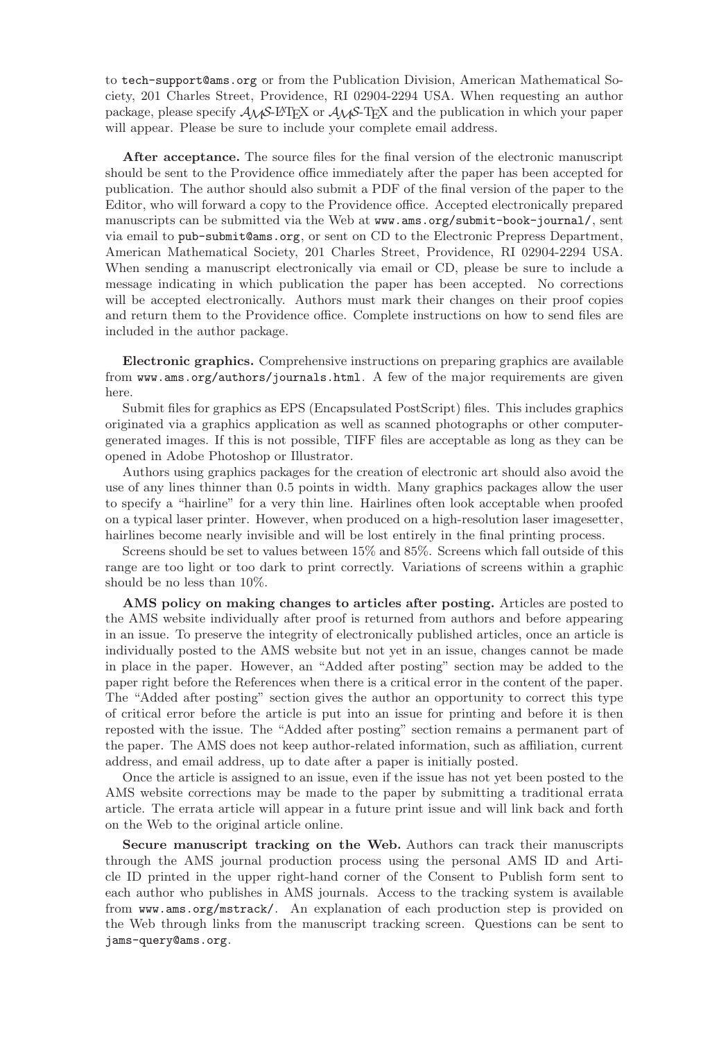to tech-support@ams.org or from the Publication Division, American Mathematical Society, 201 Charles Street, Providence, RI 02904-2294 USA. When requesting an author package, please specify  $\mathcal{A}_{\mathcal{M}}$ S-L<sup>A</sup>T<sub>E</sub>X or  $\mathcal{A}_{\mathcal{M}}$ S-T<sub>E</sub>X and the publication in which your paper will appear. Please be sure to include your complete email address.

After acceptance. The source files for the final version of the electronic manuscript should be sent to the Providence office immediately after the paper has been accepted for publication. The author should also submit a PDF of the final version of the paper to the Editor, who will forward a copy to the Providence office. Accepted electronically prepared manuscripts can be submitted via the Web at www.ams.org/submit-book-journal/, sent via email to pub-submit@ams.org, or sent on CD to the Electronic Prepress Department, American Mathematical Society, 201 Charles Street, Providence, RI 02904-2294 USA. When sending a manuscript electronically via email or CD, please be sure to include a message indicating in which publication the paper has been accepted. No corrections will be accepted electronically. Authors must mark their changes on their proof copies and return them to the Providence office. Complete instructions on how to send files are included in the author package.

**Electronic graphics.** Comprehensive instructions on preparing graphics are available from www.ams.org/authors/journals.html. A few of the major requirements are given here.

Submit files for graphics as EPS (Encapsulated PostScript) files. This includes graphics originated via a graphics application as well as scanned photographs or other computergenerated images. If this is not possible, TIFF files are acceptable as long as they can be opened in Adobe Photoshop or Illustrator.

Authors using graphics packages for the creation of electronic art should also avoid the use of any lines thinner than 0.5 points in width. Many graphics packages allow the user to specify a "hairline" for a very thin line. Hairlines often look acceptable when proofed on a typical laser printer. However, when produced on a high-resolution laser imagesetter, hairlines become nearly invisible and will be lost entirely in the final printing process.

Screens should be set to values between 15% and 85%. Screens which fall outside of this range are too light or too dark to print correctly. Variations of screens within a graphic should be no less than 10%.

**AMS policy on making changes to articles after posting.** Articles are posted to the AMS website individually after proof is returned from authors and before appearing in an issue. To preserve the integrity of electronically published articles, once an article is individually posted to the AMS website but not yet in an issue, changes cannot be made in place in the paper. However, an "Added after posting" section may be added to the paper right before the References when there is a critical error in the content of the paper. The "Added after posting" section gives the author an opportunity to correct this type of critical error before the article is put into an issue for printing and before it is then reposted with the issue. The "Added after posting" section remains a permanent part of the paper. The AMS does not keep author-related information, such as affiliation, current address, and email address, up to date after a paper is initially posted.

Once the article is assigned to an issue, even if the issue has not yet been posted to the AMS website corrections may be made to the paper by submitting a traditional errata article. The errata article will appear in a future print issue and will link back and forth on the Web to the original article online.

**Secure manuscript tracking on the Web.** Authors can track their manuscripts through the AMS journal production process using the personal AMS ID and Article ID printed in the upper right-hand corner of the Consent to Publish form sent to each author who publishes in AMS journals. Access to the tracking system is available from www.ams.org/mstrack/. An explanation of each production step is provided on the Web through links from the manuscript tracking screen. Questions can be sent to jams-query@ams.org.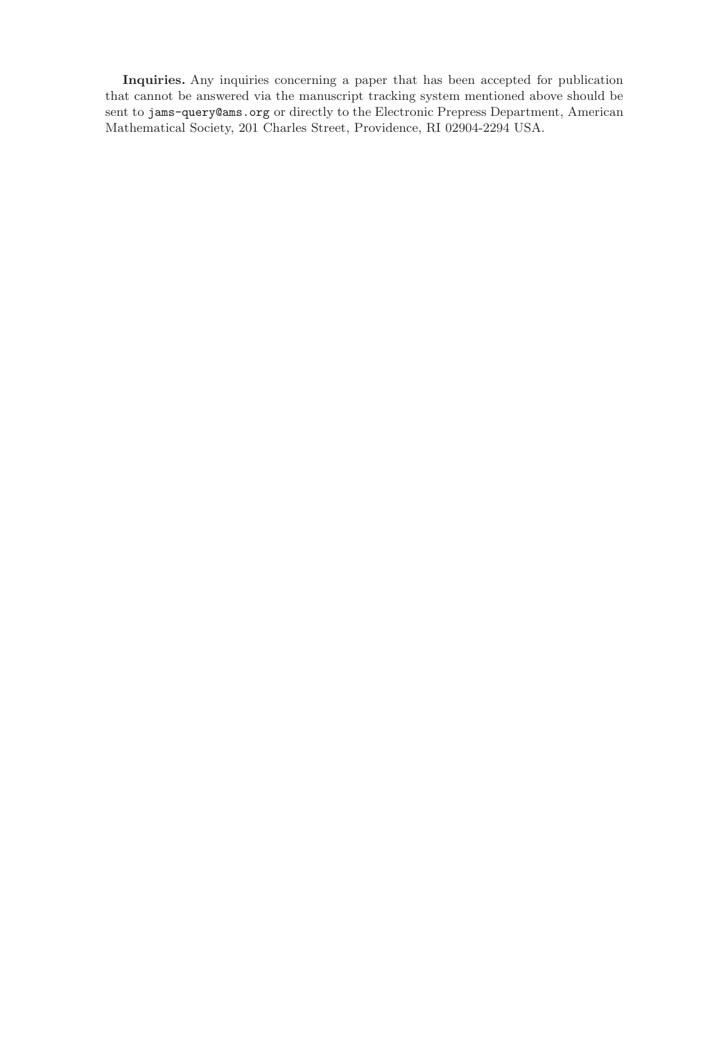**Inquiries.** Any inquiries concerning a paper that has been accepted for publication that cannot be answered via the manuscript tracking system mentioned above should be sent to jams-query@ams.org or directly to the Electronic Prepress Department, American Mathematical Society, 201 Charles Street, Providence, RI 02904-2294 USA.